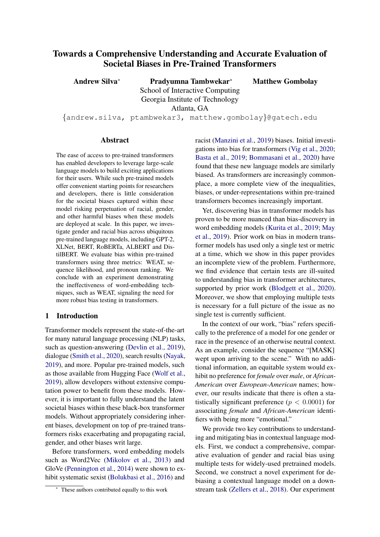# Towards a Comprehensive Understanding and Accurate Evaluation of Societal Biases in Pre-Trained Transformers

Andrew Silva<sup>∗</sup> Pradyumna Tambwekar<sup>∗</sup> School of Interactive Computing Georgia Institute of Technology Atlanta, GA {andrew.silva, ptambwekar3, matthew.gombolay}@gatech.edu Matthew Gombolay

#### Abstract

The ease of access to pre-trained transformers has enabled developers to leverage large-scale language models to build exciting applications for their users. While such pre-trained models offer convenient starting points for researchers and developers, there is little consideration for the societal biases captured within these model risking perpetuation of racial, gender, and other harmful biases when these models are deployed at scale. In this paper, we investigate gender and racial bias across ubiquitous pre-trained language models, including GPT-2, XLNet, BERT, RoBERTa, ALBERT and DistilBERT. We evaluate bias within pre-trained transformers using three metrics: WEAT, sequence likelihood, and pronoun ranking. We conclude with an experiment demonstrating the ineffectiveness of word-embedding techniques, such as WEAT, signaling the need for more robust bias testing in transformers.

## 1 Introduction

Transformer models represent the state-of-the-art for many natural language processing (NLP) tasks, such as question-answering [\(Devlin et al.,](#page-5-0) [2019\)](#page-5-0), dialogue [\(Smith et al.,](#page-5-1) [2020\)](#page-5-1), search results [\(Nayak,](#page-5-2) [2019\)](#page-5-2), and more. Popular pre-trained models, such as those available from Hugging Face [\(Wolf et al.,](#page-6-0) [2019\)](#page-6-0), allow developers without extensive computation power to benefit from these models. However, it is important to fully understand the latent societal biases within these black-box transformer models. Without appropriately considering inherent biases, development on top of pre-trained transformers risks exacerbating and propagating racial, gender, and other biases writ large.

Before transformers, word embedding models such as Word2Vec [\(Mikolov et al.,](#page-5-3) [2013\)](#page-5-3) and GloVe [\(Pennington et al.,](#page-5-4) [2014\)](#page-5-4) were shown to exhibit systematic sexist [\(Bolukbasi et al.,](#page-4-0) [2016\)](#page-4-0) and

racist [\(Manzini et al.,](#page-5-5) [2019\)](#page-5-5) biases. Initial investigations into bias for transformers [\(Vig et al.,](#page-5-6) [2020;](#page-5-6) [Basta et al.,](#page-4-1) [2019;](#page-4-1) [Bommasani et al.,](#page-4-2) [2020\)](#page-4-2) have found that these new language models are similarly biased. As transformers are increasingly commonplace, a more complete view of the inequalities, biases, or under-representations within pre-trained transformers becomes increasingly important.

Yet, discovering bias in transformer models has proven to be more nuanced than bias-discovery in word embedding models [\(Kurita et al.,](#page-5-7) [2019;](#page-5-7) [May](#page-5-8) [et al.,](#page-5-8) [2019\)](#page-5-8). Prior work on bias in modern transformer models has used only a single test or metric at a time, which we show in this paper provides an incomplete view of the problem. Furthermore, we find evidence that certain tests are ill-suited to understanding bias in transformer architectures, supported by prior work [\(Blodgett et al.,](#page-4-3) [2020\)](#page-4-3). Moreover, we show that employing multiple tests is necessary for a full picture of the issue as no single test is currently sufficient.

In the context of our work, "bias" refers specifically to the preference of a model for one gender or race in the presence of an otherwise neutral context. As an example, consider the sequence "[MASK] wept upon arriving to the scene." With no additional information, an equitable system would exhibit no preference for *female* over *male*, or *African-American* over *European-American* names; however, our results indicate that there is often a statistically significant preference ( $p < 0.0001$ ) for associating *female* and *African-American* identifiers with being more "emotional."

We provide two key contributions to understanding and mitigating bias in contextual language models. First, we conduct a comprehensive, comparative evaluation of gender and racial bias using multiple tests for widely-used pretrained models. Second, we construct a novel experiment for debiasing a contextual language model on a downstream task [\(Zellers et al.,](#page-6-1) [2018\)](#page-6-1). Our experiment

These authors contributed equally to this work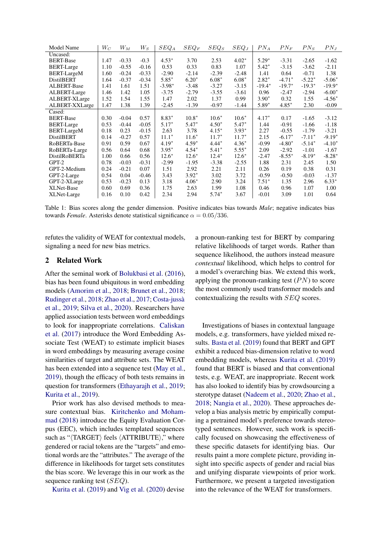<span id="page-1-0"></span>

| <b>Model Name</b>    | $W_C$ | $W_M$   | $W_S$   | $SEQ_A$  | $SEQ_F$ | $SEQ_S$ | $SEQ_J$ | $PN_A$   | $PN_F$   | $PN_S$   | $PN_J$   |
|----------------------|-------|---------|---------|----------|---------|---------|---------|----------|----------|----------|----------|
| Uncased:             |       |         |         |          |         |         |         |          |          |          |          |
| <b>BERT-Base</b>     | 1.47  | $-0.33$ | $-0.3$  | $4.53*$  | 3.70    | 2.53    | $4.02*$ | $5.29*$  | $-3.31$  | $-2.65$  | $-1.62$  |
| <b>BERT-Large</b>    | 1.10  | $-0.55$ | $-0.16$ | 0.53     | 0.33    | 0.83    | 1.07    | $5.42*$  | $-3.15$  | $-3.62$  | $-2.11$  |
| <b>BERT-LargeM</b>   | 1.60  | $-0.24$ | $-0.33$ | $-2.90$  | $-2.14$ | $-2.39$ | $-2.48$ | 1.41     | 0.64     | $-0.71$  | 1.38     |
| <b>DistilBERT</b>    | 1.64  | $-0.37$ | $-0.34$ | $5.85*$  | $6.20*$ | $6.08*$ | $6.08*$ | $2.82*$  | $-4.71*$ | $-5.22*$ | $-5.06*$ |
| <b>ALBERT-Base</b>   | 1.41  | 1.61    | 1.51    | $-3.98*$ | $-3.48$ | $-3.27$ | $-3.15$ | $-19.4*$ | $-19.7*$ | $-19.3*$ | $-19.9*$ |
| ALBERT-Large         | 1.46  | 1.42    | 1.05    | $-3.75$  | $-2.79$ | $-3.55$ | $-3.61$ | 0.96     | $-2.47$  | $-2.94$  | $-6.00*$ |
| ALBERT-XLarge        | 1.52  | 1.54    | 1.55    | 1.47     | 2.02    | 1.37    | 0.99    | $3.90*$  | 0.32     | 1.55     | $-4.56*$ |
| ALBERT-XXLarge       | 1.47  | 1.38    | 1.39    | $-2.45$  | $-1.39$ | $-0.97$ | $-1.44$ | 5.89*    | $4.85*$  | 2.30     | $-0.09$  |
| Cased:               |       |         |         |          |         |         |         |          |          |          |          |
| <b>BERT-Base</b>     | 0.30  | $-0.04$ | 0.57    | $8.83*$  | $10.8*$ | $10.6*$ | $10.6*$ | $4.17*$  | 0.17     | $-1.65$  | $-3.12$  |
| <b>BERT-Large</b>    | 0.53  | $-0.44$ | $-0.05$ | $5.17*$  | $5.47*$ | $4.50*$ | $5.47*$ | 1.44     | $-0.91$  | $-1.66$  | $-1.18$  |
| <b>BERT-LargeM</b>   | 0.18  | 0.23    | $-0.15$ | 2.63     | 3.78    | $4.15*$ | $3.93*$ | 2.27     | $-0.55$  | $-1.79$  | $-3.21$  |
| <b>DistilBERT</b>    | 0.14  | $-0.27$ | 0.57    | $11.1*$  | $11.6*$ | $11.7*$ | $11.7*$ | 2.15     | $-6.17*$ | $-7.11*$ | $-9.19*$ |
| RoBERTa-Base         | 0.91  | 0.59    | 0.67    | $4.19*$  | $4.59*$ | $4.44*$ | $4.36*$ | $-0.99$  | $-4.80*$ | $-5.14*$ | $-4.10*$ |
| RoBERTa-Large        | 0.56  | 0.64    | 0.68    | $3.95*$  | $4.54*$ | $5.41*$ | $5.55*$ | 2.09     | $-2.92$  | $-1.01$  | $-1.67$  |
| <b>DistilRoBERTa</b> | 1.00  | 0.66    | 0.56    | $12.6*$  | $12.6*$ | $12.4*$ | $12.6*$ | $-2.47$  | $-8.55*$ | $-8.19*$ | $-8.28*$ |
| $GPT-2$              | 0.78  | $-0.03$ | $-0.31$ | $-2.99$  | $-1.95$ | $-3.38$ | $-2.55$ | 1.88     | 2.31     | 2.45     | 1.50     |
| GPT-2-Medium         | 0.24  | $-0.21$ | 0.07    | 1.51     | 2.92    | 2.21    | 2.11    | 0.26     | 0.19     | 0.38     | 0.31     |
| GPT-2-Large          | 0.54  | 0.04    | $-0.46$ | 3.43     | $3.92*$ | 3.02    | 3.72    | $-0.59$  | $-0.50$  | $-0.03$  | $-1.37$  |
| GPT-2-XLarge         | 0.53  | $-0.23$ | 0.13    | 3.18     | $4.06*$ | 2.90    | 3.24    | $7.51*$  | 1.35     | 2.96     | $6.33*$  |
| XLNet-Base           | 0.60  | 0.69    | 0.36    | 1.75     | 2.63    | 1.99    | 1.08    | 0.46     | 0.96     | 1.07     | 1.00     |
| XLNet-Large          | 0.16  | 0.10    | 0.42    | 2.34     | 2.94    | $5.74*$ | 3.67    | $-0.01$  | 3.09     | 1.01     | 0.64     |

Table 1: Bias scores along the gender dimension. Positive indicates bias towards *Male*; negative indicates bias towards *Female*. Asterisks denote statistical significance  $\alpha = 0.05/336$ .

refutes the validity of WEAT for contextual models, signaling a need for new bias metrics.

#### 2 Related Work

After the seminal work of [Bolukbasi et al.](#page-4-0) [\(2016\)](#page-4-0), bias has been found ubiquitous in word embedding models [\(Amorim et al.,](#page-4-4) [2018;](#page-4-4) [Brunet et al.,](#page-5-9) [2018;](#page-5-9) [Rudinger et al.,](#page-5-10) [2018;](#page-5-10) [Zhao et al.,](#page-6-2) [2017;](#page-6-2) [Costa-jussa`](#page-5-11) [et al.,](#page-5-11) [2019;](#page-5-11) [Silva et al.,](#page-5-12) [2020\)](#page-5-12). Researchers have applied association tests between word embeddings to look for inappropriate correlations. [Caliskan](#page-5-13) [et al.](#page-5-13) [\(2017\)](#page-5-13) introduce the Word Embedding Associate Test (WEAT) to estimate implicit biases in word embeddings by measuring average cosine similarities of target and attribute sets. The WEAT has been extended into a sequence test [\(May et al.,](#page-5-8) [2019\)](#page-5-8), though the efficacy of both tests remains in question for transformers [\(Ethayarajh et al.,](#page-5-14) [2019;](#page-5-14) [Kurita et al.,](#page-5-7) [2019\)](#page-5-7).

Prior work has also devised methods to measure contextual bias. [Kiritchenko and Moham](#page-5-15)[mad](#page-5-15) [\(2018\)](#page-5-15) introduce the Equity Evaluation Corpus (EEC), which includes templated sequences such as " $\langle$ TARGET $\rangle$  feels  $\langle$ ATTRIBUTE $\rangle$ ," where gendered or racial tokens are the "targets" and emotional words are the "attributes." The average of the difference in likelihoods for target sets constitutes the bias score. We leverage this in our work as the sequence ranking test (SEQ).

[Kurita et al.](#page-5-7) [\(2019\)](#page-5-7) and [Vig et al.](#page-5-6) [\(2020\)](#page-5-6) devise

a pronoun-ranking test for BERT by comparing relative likelihoods of target words. Rather than sequence likelihood, the authors instead measure *contextual* likelihood, which helps to control for a model's overarching bias. We extend this work, applying the pronoun-ranking test  $(PN)$  to score the most commonly used transformer models and contextualizing the results with SEQ scores.

Investigations of biases in contextual language models, e.g. transformers, have yielded mixed results. [Basta et al.](#page-4-1) [\(2019\)](#page-4-1) found that BERT and GPT exhibit a reduced bias-dimension relative to word embedding models, whereas [Kurita et al.](#page-5-7) [\(2019\)](#page-5-7) found that BERT is biased and that conventional tests, e.g. WEAT, are inappropriate. Recent work has also looked to identify bias by crowdsourcing a sterotype dataset [\(Nadeem et al.,](#page-5-16) [2020;](#page-5-16) [Zhao et al.,](#page-6-3) [2018;](#page-6-3) [Nangia et al.,](#page-5-17) [2020\)](#page-5-17). These approaches develop a bias analysis metric by empirically computing a pretrained model's preference towards stereotyped sentences. However, such work is specifically focused on showcasing the effectiveness of these specific datasets for identifying bias. Our results paint a more complete picture, providing insight into specific aspects of gender and racial bias and unifying disparate viewpoints of prior work. Furthermore, we present a targeted investigation into the relevance of the WEAT for transformers.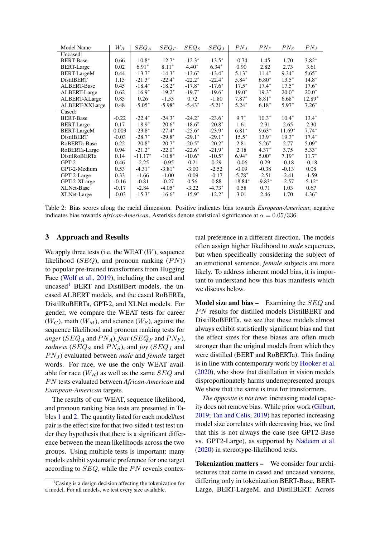<span id="page-2-1"></span>

| Model Name         | $W_R$   | $SEQ_A$   | $SEQ_F$  | $SEQ_S$   | $SEQ_J$   | $PN_A$    | $PN_F$   | $PN_S$   | $PN_J$   |
|--------------------|---------|-----------|----------|-----------|-----------|-----------|----------|----------|----------|
| Uncased:           |         |           |          |           |           |           |          |          |          |
| <b>BERT-Base</b>   | 0.66    | $-10.8*$  | $-12.7*$ | $-12.3*$  | $-13.5*$  | $-0.74$   | 1.45     | 1.70     | $3.82*$  |
| <b>BERT-Large</b>  | 0.02    | $6.91*$   | $8.11*$  | $4.40*$   | $6.34*$   | 0.90      | 2.82     | 2.73     | 3.61     |
| <b>BERT-LargeM</b> | 0.44    | $-13.7*$  | $-14.3*$ | $-13.6*$  | $-13.4*$  | $5.13*$   | $11.4*$  | $9.34*$  | $5.65*$  |
| <b>DistilBERT</b>  | 1.15    | $-21.3*$  | $-22.4*$ | $-22.2^*$ | $-22.4*$  | $5.84*$   | $6.80*$  | $13.5*$  | $14.8*$  |
| <b>ALBERT-Base</b> | 0.45    | $-18.4*$  | $-18.2*$ | $-17.8*$  | $-17.6*$  | $17.5*$   | $17.4*$  | $17.5*$  | $17.6*$  |
| ALBERT-Large       | 0.62    | $-16.9*$  | $-19.2*$ | $-19.7*$  | $-19.6*$  | $19.0*$   | $19.3*$  | $20.0*$  | $20.0*$  |
| ALBERT-XLarge      | 0.85    | 0.26      | $-1.53$  | 0.72      | $-1.80$   | $7.87*$   | $8.81*$  | $6.68*$  | 12.89*   |
| ALBERT-XXLarge     | 0.48    | $-5.05*$  | $-5.98*$ | $-5.43*$  | $-5.21*$  | $5.24*$   | $6.18*$  | 5.97*    | $7.26*$  |
| Cased:             |         |           |          |           |           |           |          |          |          |
| <b>BERT-Base</b>   | $-0.22$ | $-22.4*$  | $-24.3*$ | $-24.2*$  | $-23.6*$  | $9.7*$    | $10.3*$  | $10.4*$  | $13.4*$  |
| <b>BERT-Large</b>  | 0.17    | $-18.9*$  | $-20.6*$ | $-18.6*$  | $-20.8*$  | 1.61      | 2.31     | 2.65     | 2.30     |
| <b>BERT-LargeM</b> | 0.003   | $-23.8*$  | $-27.4*$ | $-25.6*$  | $-23.9*$  | $6.81*$   | $9.63*$  | $11.69*$ | $7.74*$  |
| <b>DistilBERT</b>  | $-0.03$ | $-28.7*$  | $-29.8*$ | $-29.1*$  | $-29.1*$  | $15.5^*$  | $13.9*$  | $19.3*$  | $17.4*$  |
| RoBERTa-Base       | 0.22    | $-20.8*$  | $-20.7*$ | $-20.5*$  | $-20.2*$  | 2.81      | $5.26*$  | 2.77     | $5.09*$  |
| RoBERTa-Large      | 0.94    | $-21.2*$  | $-22.0*$ | $-22.6*$  | $-21.9*$  | 2.18      | $4.37*$  | 3.75     | $5.33*$  |
| DistilRoBERTa      | 0.14    | $-11.17*$ | $-10.8*$ | $-10.6*$  | $-10.5^*$ | $6.94*$   | $5.00*$  | $7.19*$  | $11.7*$  |
| GPT-2              | 0.46    | $-2.25$   | $-0.95$  | $-0.21$   | 0.29      | $-0.06$   | 0.29     | $-0.18$  | $-0.18$  |
| GPT-2-Medium       | 0.53    | $-4.31*$  | $-3.81*$ | $-3.00$   | $-2.52$   | $-0.09$   | $-0.38$  | $-0.13$  | 0.08     |
| GPT-2-Large        | 0.33    | $-1.66$   | $-1.00$  | $-0.09$   | $-0.17$   | $-5.78*$  | $-2.51$  | $-2.41$  | $-1.59$  |
| GPT-2-XLarge       | $-0.16$ | $-0.81$   | $-0.27$  | 0.56      | 0.88      | $-18.84*$ | $-9.83*$ | $-2.57$  | $-5.12*$ |
| XLNet-Base         | $-0.17$ | $-2.84$   | $-4.05*$ | $-3.22$   | $-4.73*$  | 0.58      | 0.71     | 1.03     | 0.67     |
| XLNet-Large        | $-0.03$ | $-15.3*$  | $-16.6*$ | $-15.9*$  | $-12.2*$  | 3.01      | 2.46     | 1.70     | $4.36*$  |

Table 2: Bias scores along the racial dimension. Positive indicates bias towards *European-American*; negative indicates bias towards *African-American*. Asterisks denote statistical significance at  $\alpha = 0.05/336$ .

### 3 Approach and Results

We apply three tests (i.e. the WEAT  $(W)$ , sequence likelihood ( $SEQ$ ), and pronoun ranking  $(PN)$ ) to popular pre-trained transformers from Hugging Face [\(Wolf et al.,](#page-6-0) [2019\)](#page-6-0), including the cased and uncased<sup>[1](#page-2-0)</sup> BERT and DistilBert models, the uncased ALBERT models, and the cased RoBERTa, DistilRoBERTa, GPT-2, and XLNet models. For gender, we compare the WEAT tests for career  $(W_C)$ , math  $(W_M)$ , and science  $(W_S)$ , against the sequence likelihood and pronoun ranking tests for *anger* ( $SEQ_A$  and  $PN_A$ ), *fear* ( $SEQ_F$  and  $PN_F$ ), sadness ( $SEQ_S$  and  $PN_S$ ), and *joy* ( $SEQ_J$  and *PNJ*) evaluated between *male* and *female* target words. For race, we use the only WEAT available for race  $(W_R)$  as well as the same  $SEQ$  and PN tests evaluated between African-American and *European-American* targets.

The results of our WEAT, sequence likelihood, and pronoun ranking bias tests are presented in Tables [1](#page-1-0) and [2.](#page-2-1) The quantity listed for each model/test pair is the effect size for that two-sided t-test test under they hypothesis that there is a significant difference between the mean likelihoods across the two groups. Using multiple tests is important; many models exhibit systematic preference for one target according to  $SEQ$ , while the PN reveals contextual preference in a different direction. The models often assign higher likelihood to *male* sequences, but when specifically considering the subject of an emotional sentence, *female* subjects are more likely. To address inherent model bias, it is important to understand how this bias manifests which we discuss below.

**Model size and bias –** Examining the  $SEQ$  and  $PN$  results for distilled models DistilBERT and DistilRoBERTa, we see that these models almost always exhibit statistically significant bias and that the effect sizes for these biases are often much stronger than the original models from which they were distilled (BERT and RoBERTa). This finding is in line with contemporary work by [Hooker et al.](#page-5-18) [\(2020\)](#page-5-18), who show that distillation in vision models disproportionately harms underrepresented groups. We show that the same is true for transformers.

*The opposite is not true*: increasing model capacity does not remove bias. While prior work [\(Gilburt,](#page-5-19) [2019;](#page-5-19) [Tan and Celis,](#page-5-20) [2019\)](#page-5-20) has reported increasing model size correlates with decreasing bias, we find that this is not always the case (see GPT2-Base vs. GPT2-Large), as supported by [Nadeem et al.](#page-5-16) [\(2020\)](#page-5-16) in stereotype-likelihood tests.

Tokenization matters – We consider four architectures that come in cased and uncased versions, differing only in tokenization BERT-Base, BERT-Large, BERT-LargeM, and DistilBERT. Across

<span id="page-2-0"></span> ${}^{1}$ Casing is a design decision affecting the tokenization for a model. For all models, we test every size available.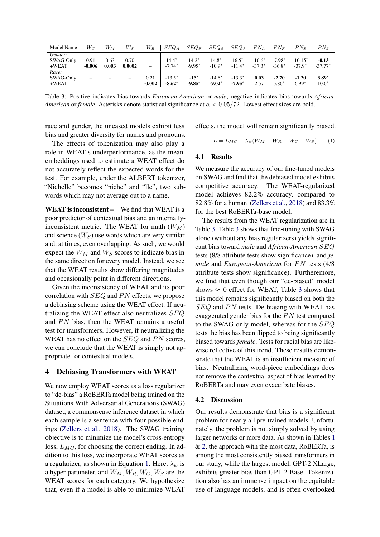<span id="page-3-1"></span>

| Model Name           | $W_{C}$                  | $W_M$         | $W_S$          | $W_R$    | $SEQ_A$             | $SEQ_F$             | $SEQ_S$             | $SEQ_J$             | $PN_A$               | $PN_F$               | $PN_s$                | $PN_J$               |
|----------------------|--------------------------|---------------|----------------|----------|---------------------|---------------------|---------------------|---------------------|----------------------|----------------------|-----------------------|----------------------|
| Gender:              |                          |               |                |          |                     |                     |                     |                     |                      |                      |                       |                      |
| SWAG-Only<br>$+WEAT$ | 0.91<br>$-0.006$         | 0.63<br>0.003 | 0.70<br>0.0002 | -        | $14.4*$<br>$-7.74*$ | $14.2*$<br>$-9.95*$ | $14.8*$<br>$-10.9*$ | $16.5*$<br>$-11.4*$ | $-10.6*$<br>$-37.3*$ | $-7.98*$<br>$-36.8*$ | $-10.15*$<br>$-37.9*$ | $-0.13$<br>$-37.77*$ |
| Race:                |                          |               |                |          |                     |                     |                     |                     |                      |                      |                       |                      |
| SWAG-Only            | $\overline{\phantom{a}}$ | -             |                | 0.21     | $-13.5*$            | $-15*$              | $-14.6*$            | $-13.3*$            | 0.03                 | $-2.70$              | $-1.30$               | $3.89*$              |
| $+WEAT$              | $\overline{\phantom{a}}$ |               |                | $-0.002$ | $-8.62*$            | $-9.85*$            | $-9.02*$            | $-7.95^*$           | 2.57                 | $5.86*$              | $6.99*$               | $10.6*$              |

Table 3: Positive indicates bias towards *European-American* or *male*; negative indicates bias towards *African-American* or *female*. Asterisks denote statistical significance at α < 0.05/72. Lowest effect sizes are bold.

race and gender, the uncased models exhibit less bias and greater diversity for names and pronouns.

The effects of tokenization may also play a role in WEAT's underperformance, as the meanembeddings used to estimate a WEAT effect do not accurately reflect the expected words for the test. For example, under the ALBERT tokenizer, "Nichelle" becomes "niche" and "lle", two subwords which may not average out to a name.

WEAT is inconsistent – We find that WEAT is a poor predictor of contextual bias and an internallyinconsistent metric. The WEAT for math  $(W_M)$ and science  $(W<sub>S</sub>)$  use words which are very similar and, at times, even overlapping. As such, we would expect the  $W_M$  and  $W_S$  scores to indicate bias in the same direction for every model. Instead, we see that the WEAT results show differing magnitudes and occasionally point in different directions.

Given the inconsistency of WEAT and its poor correlation with  $SEQ$  and  $PN$  effects, we propose a debiasing scheme using the WEAT effect. If neutralizing the WEAT effect also neutralizes SEQ and  $PN$  bias, then the WEAT remains a useful test for transformers. However, if neutralizing the WEAT has no effect on the  $SEQ$  and PN scores, we can conclude that the WEAT is simply not appropriate for contextual models.

#### 4 Debiasing Transformers with WEAT

We now employ WEAT scores as a loss regularizer to "de-bias" a RoBERTa model being trained on the Situations With Adversarial Generations (SWAG) dataset, a commonsense inference dataset in which each sample is a sentence with four possible endings [\(Zellers et al.,](#page-6-1) [2018\)](#page-6-1). The SWAG training objective is to minimize the model's cross-entropy loss,  $L_{MC}$ , for choosing the correct ending. In addition to this loss, we incorporate WEAT scores as a regularizer, as shown in Equation [1.](#page-3-0) Here,  $\lambda_w$  is a hyper-parameter, and  $W_M, W_R, W_C, W_S$  are the WEAT scores for each category. We hypothesize that, even if a model is able to minimize WEAT effects, the model will remain significantly biased.

<span id="page-3-0"></span>
$$
L = L_{MC} + \lambda_w (W_M + W_R + W_C + W_S) \tag{1}
$$

#### 4.1 Results

We measure the accuracy of our fine-tuned models on SWAG and find that the debiased model exhibits competitive accuracy. The WEAT-regularized model achieves 82.2% accuracy, compared to 82.8% for a human [\(Zellers et al.,](#page-6-1) [2018\)](#page-6-1) and 83.3% for the best RoBERTa-base model.

The results from the WEAT regularization are in Table [3.](#page-3-1) Table [3](#page-3-1) shows that fine-tuning with SWAG alone (without any bias regularizers) yields significant bias toward *male* and *African-American* SEQ tests (8/8 attribute tests show significance), and *female* and *European-American* for PN tests (4/8) attribute tests show significance). Furtheremore, we find that even though our "de-biased" model shows  $\approx 0$  effect for WEAT, Table [3](#page-3-1) shows that this model remains significantly biased on both the  $SEQ$  and PN tests. De-biasing with WEAT has exaggerated gender bias for the  $PN$  test compared to the SWAG-only model, whereas for the SEQ tests the bias has been flipped to being significantly biased towards *female*. Tests for racial bias are likewise reflective of this trend. These results demonstrate that the WEAT is an insufficient measure of bias. Neutralizing word-piece embeddings does not remove the contextual aspect of bias learned by RoBERTa and may even exacerbate biases.

#### 4.2 Discussion

Our results demonstrate that bias is a significant problem for nearly all pre-trained models. Unfortunately, the problem is not simply solved by using larger networks or more data. As shown in Tables [1](#page-1-0) & [2,](#page-2-1) the approach with the most data, RoBERTa, is among the most consistently biased transformers in our study, while the largest model, GPT-2 XLarge, exhibits greater bias than GPT-2 Base. Tokenization also has an immense impact on the equitable use of language models, and is often overlooked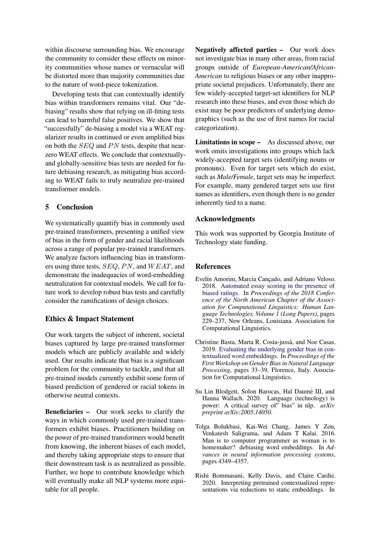within discourse surrounding bias. We encourage the community to consider these effects on minority communities whose names or vernacular will be distorted more than majority communities due to the nature of word-piece tokenization.

Developing tests that can contextually identify bias within transformers remains vital. Our "debiasing" results show that relying on ill-fitting tests can lead to harmful false positives. We show that "successfully" de-biasing a model via a WEAT regularizer results in continued or even amplified bias on both the  $SEQ$  and  $PN$  tests, despite that nearzero WEAT effects. We conclude that contextuallyand globally-sensitive bias tests are needed for future debiasing research, as mitigating bias according to WEAT fails to truly neutralize pre-trained transformer models.

## 5 Conclusion

We systematically quantify bias in commonly used pre-trained transformers, presenting a unified view of bias in the form of gender and racial likelihoods across a range of popular pre-trained transformers. We analyze factors influencing bias in transformers using three tests,  $SEQ$ ,  $PN$ , and  $WEAT$ , and demonstrate the inadequacies of word-embedding neutralization for contextual models. We call for future work to develop robust bias tests and carefully consider the ramifications of design choices.

## Ethics & Impact Statement

Our work targets the subject of inherent, societal biases captured by large pre-trained transformer models which are publicly available and widely used. Our results indicate that bias is a significant problem for the community to tackle, and that all pre-trained models currently exhibit some form of biased prediction of gendered or racial tokens in otherwise neutral contexts.

Beneficiaries – Our work seeks to clarify the ways in which commonly used pre-trained transformers exhibit biases. Practitioners building on the power of pre-trained transformers would benefit from knowing, the inherent biases of each model, and thereby taking appropriate steps to ensure that their downstream task is as neutralized as possible. Further, we hope to contribute knowledge which will eventually make all NLP systems more equitable for all people.

Negatively affected parties – Our work does not investigate bias in many other areas, from racial groups outside of *European-American/African-American* to religious biases or any other inappropriate societal prejudices. Unfortunately, there are few widely-accepted target-set identifiers for NLP research into these biases, and even those which do exist may be poor predictors of underlying demographics (such as the use of first names for racial categorization).

Limitations in scope – As discussed above, our work omits investigations into groups which lack widely-accepted target sets (identifying nouns or pronouns). Even for target sets which do exist, such as *Male/Female*, target sets may be imperfect. For example, many gendered target sets use first names as identifiers, even though there is no gender inherently tied to a name.

## Acknowledgments

This work was supported by Georgia Institute of Technology state funding.

## References

- <span id="page-4-4"></span>Evelin Amorim, Marcia Cancado, and Adriano Veloso. 2018. [Automated essay scoring in the presence of](https://doi.org/10.18653/v1/N18-1021) [biased ratings.](https://doi.org/10.18653/v1/N18-1021) In *Proceedings of the 2018 Conference of the North American Chapter of the Association for Computational Linguistics: Human Language Technologies, Volume 1 (Long Papers)*, pages 229–237, New Orleans, Louisiana. Association for Computational Linguistics.
- <span id="page-4-1"></span>Christine Basta, Marta R. Costa-jussa, and Noe Casas. ` 2019. [Evaluating the underlying gender bias in con](https://doi.org/10.18653/v1/W19-3805)[textualized word embeddings.](https://doi.org/10.18653/v1/W19-3805) In *Proceedings of the First Workshop on Gender Bias in Natural Language Processing*, pages 33–39, Florence, Italy. Association for Computational Linguistics.
- <span id="page-4-3"></span>Su Lin Blodgett, Solon Barocas, Hal Daumé III, and Hanna Wallach. 2020. Language (technology) is power: A critical survey of" bias" in nlp. *arXiv preprint arXiv:2005.14050*.
- <span id="page-4-0"></span>Tolga Bolukbasi, Kai-Wei Chang, James Y Zou, Venkatesh Saligrama, and Adam T Kalai. 2016. Man is to computer programmer as woman is to homemaker? debiasing word embeddings. In *Advances in neural information processing systems*, pages 4349–4357.
- <span id="page-4-2"></span>Rishi Bommasani, Kelly Davis, and Claire Cardie. 2020. Interpreting pretrained contextualized representations via reductions to static embeddings. In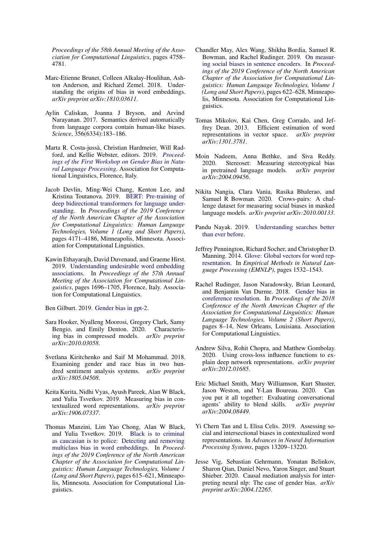*Proceedings of the 58th Annual Meeting of the Association for Computational Linguistics*, pages 4758– 4781.

- <span id="page-5-9"></span>Marc-Etienne Brunet, Colleen Alkalay-Houlihan, Ashton Anderson, and Richard Zemel. 2018. Understanding the origins of bias in word embeddings. *arXiv preprint arXiv:1810.03611*.
- <span id="page-5-13"></span>Aylin Caliskan, Joanna J Bryson, and Arvind Narayanan. 2017. Semantics derived automatically from language corpora contain human-like biases. *Science*, 356(6334):183–186.
- <span id="page-5-11"></span>Marta R. Costa-jussa, Christian Hardmeier, Will Rad- ` ford, and Kellie Webster, editors. 2019. *[Proceed](https://www.aclweb.org/anthology/W19-3800)[ings of the First Workshop on Gender Bias in Natu](https://www.aclweb.org/anthology/W19-3800)[ral Language Processing](https://www.aclweb.org/anthology/W19-3800)*. Association for Computational Linguistics, Florence, Italy.
- <span id="page-5-0"></span>Jacob Devlin, Ming-Wei Chang, Kenton Lee, and Kristina Toutanova. 2019. [BERT: Pre-training of](https://doi.org/10.18653/v1/N19-1423) [deep bidirectional transformers for language under](https://doi.org/10.18653/v1/N19-1423)[standing.](https://doi.org/10.18653/v1/N19-1423) In *Proceedings of the 2019 Conference of the North American Chapter of the Association for Computational Linguistics: Human Language Technologies, Volume 1 (Long and Short Papers)*, pages 4171–4186, Minneapolis, Minnesota. Association for Computational Linguistics.
- <span id="page-5-14"></span>Kawin Ethayarajh, David Duvenaud, and Graeme Hirst. 2019. [Understanding undesirable word embedding](https://doi.org/10.18653/v1/P19-1166) [associations.](https://doi.org/10.18653/v1/P19-1166) In *Proceedings of the 57th Annual Meeting of the Association for Computational Linguistics*, pages 1696–1705, Florence, Italy. Association for Computational Linguistics.

<span id="page-5-19"></span>Ben Gilburt. 2019. [Gender bias in gpt-2.](https://towardsdatascience.com/gender-bias-in-gpt-2-acf65dc84bd8)

- <span id="page-5-18"></span>Sara Hooker, Nyalleng Moorosi, Gregory Clark, Samy Bengio, and Emily Denton. 2020. Characterising bias in compressed models. *arXiv preprint arXiv:2010.03058*.
- <span id="page-5-15"></span>Svetlana Kiritchenko and Saif M Mohammad. 2018. Examining gender and race bias in two hundred sentiment analysis systems. *arXiv preprint arXiv:1805.04508*.
- <span id="page-5-7"></span>Keita Kurita, Nidhi Vyas, Ayush Pareek, Alan W Black, and Yulia Tsvetkov. 2019. Measuring bias in contextualized word representations. *arXiv preprint arXiv:1906.07337*.
- <span id="page-5-5"></span>Thomas Manzini, Lim Yao Chong, Alan W Black, and Yulia Tsvetkov. 2019. [Black is to criminal](https://doi.org/10.18653/v1/N19-1062) [as caucasian is to police: Detecting and removing](https://doi.org/10.18653/v1/N19-1062) [multiclass bias in word embeddings.](https://doi.org/10.18653/v1/N19-1062) In *Proceedings of the 2019 Conference of the North American Chapter of the Association for Computational Linguistics: Human Language Technologies, Volume 1 (Long and Short Papers)*, pages 615–621, Minneapolis, Minnesota. Association for Computational Linguistics.
- <span id="page-5-8"></span>Chandler May, Alex Wang, Shikha Bordia, Samuel R. Bowman, and Rachel Rudinger. 2019. [On measur](https://doi.org/10.18653/v1/N19-1063)[ing social biases in sentence encoders.](https://doi.org/10.18653/v1/N19-1063) In *Proceedings of the 2019 Conference of the North American Chapter of the Association for Computational Linguistics: Human Language Technologies, Volume 1 (Long and Short Papers)*, pages 622–628, Minneapolis, Minnesota. Association for Computational Linguistics.
- <span id="page-5-3"></span>Tomas Mikolov, Kai Chen, Greg Corrado, and Jeffrey Dean. 2013. Efficient estimation of word representations in vector space. *arXiv preprint arXiv:1301.3781*.
- <span id="page-5-16"></span>Moin Nadeem, Anna Bethke, and Siva Reddy. 2020. Stereoset: Measuring stereotypical bias in pretrained language models. *arXiv preprint arXiv:2004.09456*.
- <span id="page-5-17"></span>Nikita Nangia, Clara Vania, Rasika Bhalerao, and Samuel R Bowman. 2020. Crows-pairs: A challenge dataset for measuring social biases in masked language models. *arXiv preprint arXiv:2010.00133*.
- <span id="page-5-2"></span>Pandu Nayak. 2019. [Understanding searches better](https://blog.google/products/search/search-language-understanding-bert/) [than ever before.](https://blog.google/products/search/search-language-understanding-bert/)
- <span id="page-5-4"></span>Jeffrey Pennington, Richard Socher, and Christopher D. Manning. 2014. [Glove: Global vectors for word rep](http://www.aclweb.org/anthology/D14-1162)[resentation.](http://www.aclweb.org/anthology/D14-1162) In *Empirical Methods in Natural Language Processing (EMNLP)*, pages 1532–1543.
- <span id="page-5-10"></span>Rachel Rudinger, Jason Naradowsky, Brian Leonard, and Benjamin Van Durme. 2018. [Gender bias in](https://doi.org/10.18653/v1/N18-2002) [coreference resolution.](https://doi.org/10.18653/v1/N18-2002) In *Proceedings of the 2018 Conference of the North American Chapter of the Association for Computational Linguistics: Human Language Technologies, Volume 2 (Short Papers)*, pages 8–14, New Orleans, Louisiana. Association for Computational Linguistics.
- <span id="page-5-12"></span>Andrew Silva, Rohit Chopra, and Matthew Gombolay. 2020. Using cross-loss influence functions to explain deep network representations. *arXiv preprint arXiv:2012.01685*.
- <span id="page-5-1"></span>Eric Michael Smith, Mary Williamson, Kurt Shuster, Jason Weston, and Y-Lan Boureau. 2020. Can you put it all together: Evaluating conversational agents' ability to blend skills. *arXiv preprint* agents' ability to blend skills. *arXiv:2004.08449*.
- <span id="page-5-20"></span>Yi Chern Tan and L Elisa Celis. 2019. Assessing social and intersectional biases in contextualized word representations. In *Advances in Neural Information Processing Systems*, pages 13209–13220.
- <span id="page-5-6"></span>Jesse Vig, Sebastian Gehrmann, Yonatan Belinkov, Sharon Qian, Daniel Nevo, Yaron Singer, and Stuart Shieber. 2020. Causal mediation analysis for interpreting neural nlp: The case of gender bias. *arXiv preprint arXiv:2004.12265*.